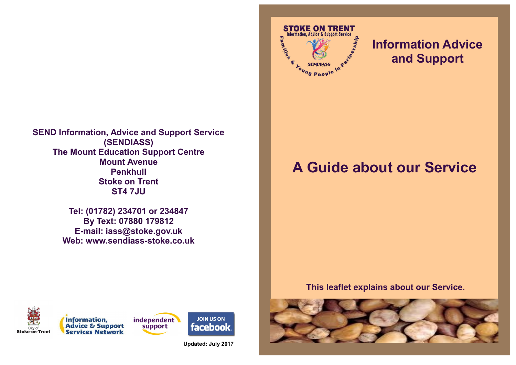**SEND Information, Advice and Support Service (SENDIASS) The Mount Education Support Centre Mount Avenue Penkhull Stoke on Trent ST4 7JU**

> **Tel: (01782) 234701 or 234847 By Text: 07880 179812 E-mail: iass@stoke.gov.uk Web: www.sendiass-stoke.co.uk**



## **Information Advice and Support**

# **A Guide about our Service**

**This leaflet explains about our Service.**









**Updated: July 2017**